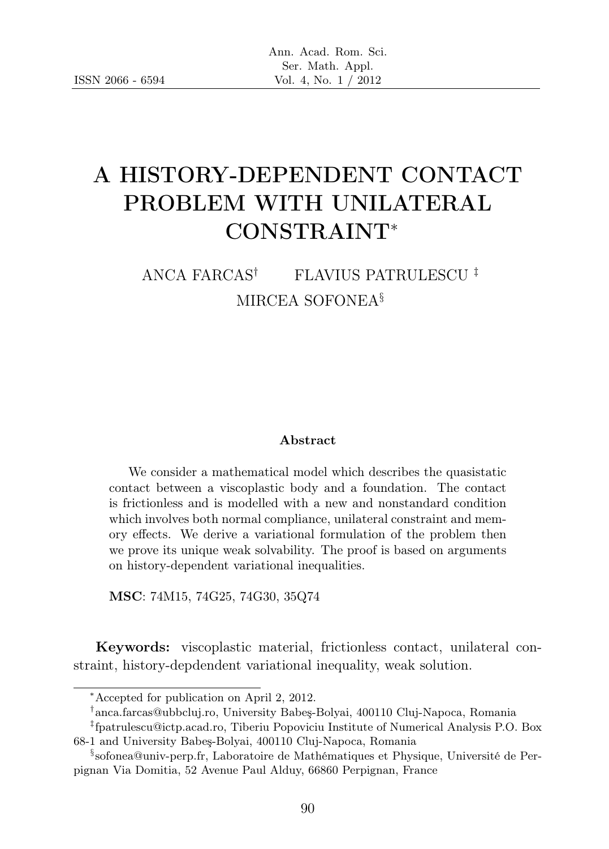# A HISTORY-DEPENDENT CONTACT PROBLEM WITH UNILATERAL CONSTRAINT<sup>∗</sup>

## ANCA FARCAS† FLAVIUS PATRULESCU ‡ MIRCEA SOFONEA§

#### Abstract

We consider a mathematical model which describes the quasistatic contact between a viscoplastic body and a foundation. The contact is frictionless and is modelled with a new and nonstandard condition which involves both normal compliance, unilateral constraint and memory effects. We derive a variational formulation of the problem then we prove its unique weak solvability. The proof is based on arguments on history-dependent variational inequalities.

MSC: 74M15, 74G25, 74G30, 35Q74

Keywords: viscoplastic material, frictionless contact, unilateral constraint, history-depdendent variational inequality, weak solution.

<sup>∗</sup>Accepted for publication on April 2, 2012.

<sup>†</sup> anca.farcas@ubbcluj.ro, University Babeş-Bolyai, 400110 Cluj-Napoca, Romania

<sup>‡</sup> fpatrulescu@ictp.acad.ro, Tiberiu Popoviciu Institute of Numerical Analysis P.O. Box 68-1 and University Babeş-Bolyai, 400110 Cluj-Napoca, Romania

<sup>§</sup> sofonea@univ-perp.fr, Laboratoire de Mathématiques et Physique, Université de Perpignan Via Domitia, 52 Avenue Paul Alduy, 66860 Perpignan, France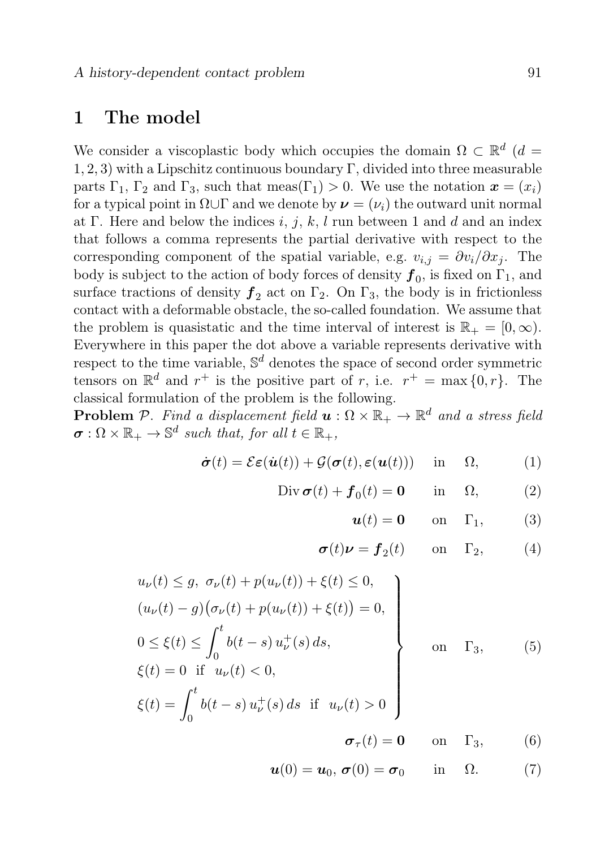#### 1 The model

We consider a viscoplastic body which occupies the domain  $\Omega \subset \mathbb{R}^d$  (*d* =  $1, 2, 3$ ) with a Lipschitz continuous boundary Γ, divided into three measurable parts  $\Gamma_1$ ,  $\Gamma_2$  and  $\Gamma_3$ , such that meas( $\Gamma_1$ ) > 0. We use the notation  $\mathbf{x} = (x_i)$ for a typical point in  $\Omega \cup \Gamma$  and we denote by  $\nu = (\nu_i)$  the outward unit normal at Γ. Here and below the indices i, j, k, l run between 1 and d and an index that follows a comma represents the partial derivative with respect to the corresponding component of the spatial variable, e.g.  $v_{i,j} = \frac{\partial v_i}{\partial x_j}$ . The body is subject to the action of body forces of density  $\boldsymbol{f}_0$ , is fixed on  $\Gamma_1$ , and surface tractions of density  $f_2$  act on  $\Gamma_2$ . On  $\Gamma_3$ , the body is in frictionless contact with a deformable obstacle, the so-called foundation. We assume that the problem is quasistatic and the time interval of interest is  $\mathbb{R}_+ = [0, \infty)$ . Everywhere in this paper the dot above a variable represents derivative with respect to the time variable,  $\mathbb{S}^d$  denotes the space of second order symmetric tensors on  $\mathbb{R}^d$  and  $r^+$  is the positive part of r, i.e.  $r^+ = \max\{0, r\}$ . The classical formulation of the problem is the following.

**Problem** P. Find a displacement field  $\boldsymbol{u} : \Omega \times \mathbb{R}_+ \to \mathbb{R}^d$  and a stress field  $\sigma : \Omega \times \mathbb{R}_+ \to \mathbb{S}^d$  such that, for all  $t \in \mathbb{R}_+$ ,

$$
\dot{\boldsymbol{\sigma}}(t) = \mathcal{E}\boldsymbol{\varepsilon}(\dot{\boldsymbol{u}}(t)) + \mathcal{G}(\boldsymbol{\sigma}(t), \boldsymbol{\varepsilon}(\boldsymbol{u}(t))) \quad \text{in} \quad \Omega,
$$
 (1)

$$
\text{Div}\,\boldsymbol{\sigma}(t) + \boldsymbol{f}_0(t) = \mathbf{0} \qquad \text{in} \quad \Omega, \tag{2}
$$

$$
\boldsymbol{u}(t) = \mathbf{0} \qquad \text{on} \quad \Gamma_1,\tag{3}
$$

$$
\boldsymbol{\sigma}(t)\boldsymbol{\nu} = \boldsymbol{f}_2(t) \quad \text{on} \quad \Gamma_2, \tag{4}
$$

$$
u_{\nu}(t) \leq g, \ \sigma_{\nu}(t) + p(u_{\nu}(t)) + \xi(t) \leq 0,(u_{\nu}(t) - g)(\sigma_{\nu}(t) + p(u_{\nu}(t)) + \xi(t)) = 0,0 \leq \xi(t) \leq \int_{0}^{t} b(t - s) u_{\nu}^{+}(s) ds,\xi(t) = 0 \quad \text{if} \quad u_{\nu}(t) < 0,\xi(t) = \int_{0}^{t} b(t - s) u_{\nu}^{+}(s) ds \quad \text{if} \quad u_{\nu}(t) > 0\sigma_{\tau}(t) = 0 \qquad \text{on} \quad \Gamma_{3}, \tag{6}
$$

$$
\boldsymbol{u}(0) = \boldsymbol{u}_0, \, \boldsymbol{\sigma}(0) = \boldsymbol{\sigma}_0 \qquad \text{in} \quad \Omega. \tag{7}
$$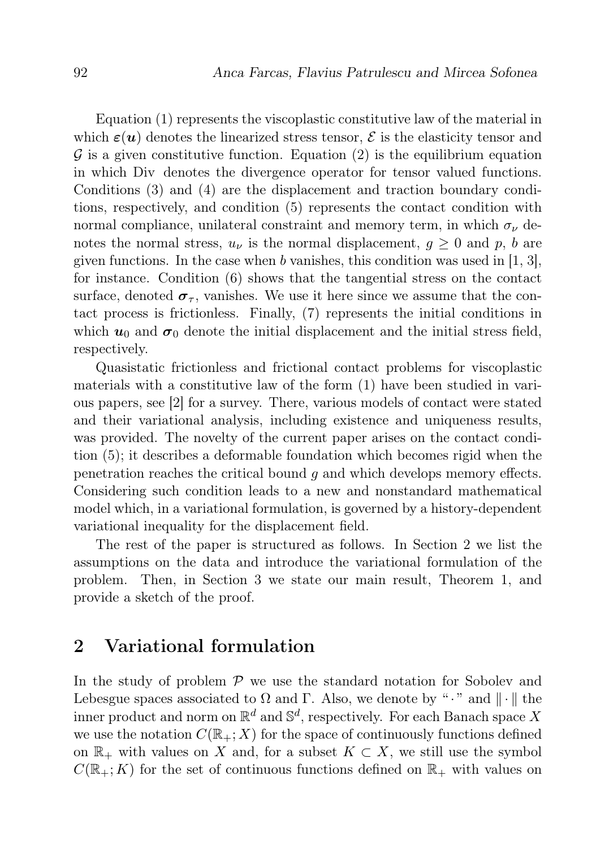Equation (1) represents the viscoplastic constitutive law of the material in which  $\varepsilon(u)$  denotes the linearized stress tensor,  $\mathcal E$  is the elasticity tensor and  $\mathcal G$  is a given constitutive function. Equation (2) is the equilibrium equation in which Div denotes the divergence operator for tensor valued functions. Conditions (3) and (4) are the displacement and traction boundary conditions, respectively, and condition (5) represents the contact condition with normal compliance, unilateral constraint and memory term, in which  $\sigma_{\nu}$  denotes the normal stress,  $u_{\nu}$  is the normal displacement,  $g \geq 0$  and p, b are given functions. In the case when b vanishes, this condition was used in  $[1, 3]$ , for instance. Condition (6) shows that the tangential stress on the contact surface, denoted  $\sigma_{\tau}$ , vanishes. We use it here since we assume that the contact process is frictionless. Finally, (7) represents the initial conditions in which  $u_0$  and  $\sigma_0$  denote the initial displacement and the initial stress field, respectively.

Quasistatic frictionless and frictional contact problems for viscoplastic materials with a constitutive law of the form (1) have been studied in various papers, see [2] for a survey. There, various models of contact were stated and their variational analysis, including existence and uniqueness results, was provided. The novelty of the current paper arises on the contact condition (5); it describes a deformable foundation which becomes rigid when the penetration reaches the critical bound  $q$  and which develops memory effects. Considering such condition leads to a new and nonstandard mathematical model which, in a variational formulation, is governed by a history-dependent variational inequality for the displacement field.

The rest of the paper is structured as follows. In Section 2 we list the assumptions on the data and introduce the variational formulation of the problem. Then, in Section 3 we state our main result, Theorem 1, and provide a sketch of the proof.

### 2 Variational formulation

In the study of problem  $P$  we use the standard notation for Sobolev and Lebesgue spaces associated to  $\Omega$  and  $\Gamma$ . Also, we denote by "." and  $\|\cdot\|$  the inner product and norm on  $\mathbb{R}^d$  and  $\mathbb{S}^d$ , respectively. For each Banach space X we use the notation  $C(\mathbb{R}_+;X)$  for the space of continuously functions defined on  $\mathbb{R}_+$  with values on X and, for a subset  $K \subset X$ , we still use the symbol  $C(\mathbb{R}_+; K)$  for the set of continuous functions defined on  $\mathbb{R}_+$  with values on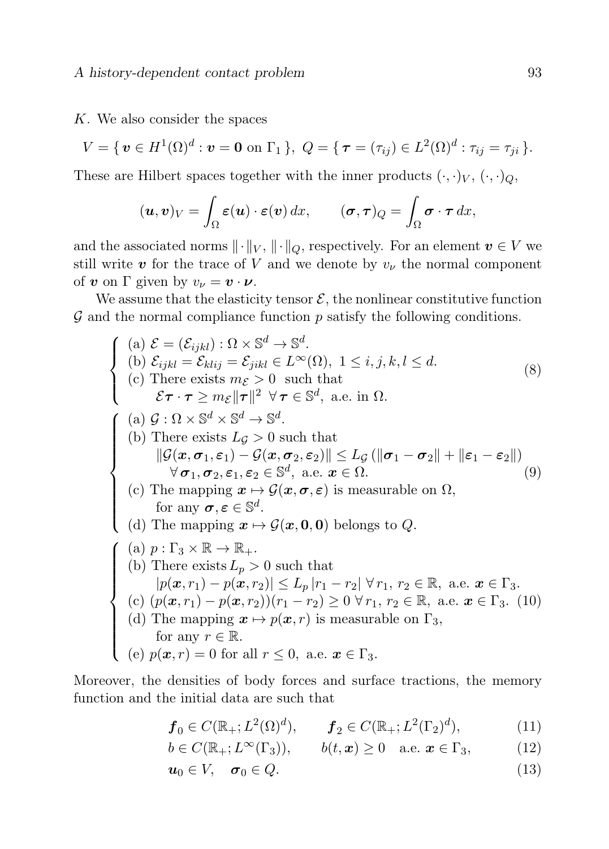#### K. We also consider the spaces

$$
V = \{ \, \mathbf{v} \in H^1(\Omega)^d : \mathbf{v} = \mathbf{0} \text{ on } \Gamma_1 \, \}, \ Q = \{ \, \boldsymbol{\tau} = (\tau_{ij}) \in L^2(\Omega)^d : \tau_{ij} = \tau_{ji} \, \}.
$$

These are Hilbert spaces together with the inner products  $(\cdot, \cdot)_V, (\cdot, \cdot)_Q$ ,

$$
(\boldsymbol{u},\boldsymbol{v})_V=\int_{\Omega}\boldsymbol{\varepsilon}(\boldsymbol{u})\cdot\boldsymbol{\varepsilon}(\boldsymbol{v})\,dx,\qquad(\boldsymbol{\sigma},\boldsymbol{\tau})_Q=\int_{\Omega}\boldsymbol{\sigma}\cdot\boldsymbol{\tau}\,dx,
$$

and the associated norms  $\|\cdot\|_V$ ,  $\|\cdot\|_Q$ , respectively. For an element  $v \in V$  we still write  $v$  for the trace of V and we denote by  $v_{\nu}$  the normal component of **v** on  $\Gamma$  given by  $v_{\nu} = \mathbf{v} \cdot \mathbf{\nu}$ .

We assume that the elasticity tensor  $\mathcal{E}$ , the nonlinear constitutive function  $\mathcal G$  and the normal compliance function  $p$  satisfy the following conditions.

$$
\begin{cases}\n(a) \mathcal{E} = (\mathcal{E}_{ijkl}) : \Omega \times \mathbb{S}^d \to \mathbb{S}^d. \\
(b) \mathcal{E}_{ijkl} = \mathcal{E}_{klij} = \mathcal{E}_{jikl} \in L^{\infty}(\Omega), 1 \leq i, j, k, l \leq d. \\
(c) \text{ There exists } m_{\mathcal{E}} > 0 \text{ such that} \\
\mathcal{E}\tau \cdot \tau \geq m_{\mathcal{E}} \|\tau\|^2 \ \forall \tau \in \mathbb{S}^d, \text{ a.e. in } \Omega.\n\end{cases}
$$
\n
$$
\begin{cases}\n(a) \mathcal{G} : \Omega \times \mathbb{S}^d \times \mathbb{S}^d \to \mathbb{S}^d. \\
(b) \text{ There exists } L_{\mathcal{G}} > 0 \text{ such that} \\
\|\mathcal{G}(x, \sigma_1, \varepsilon_1) - \mathcal{G}(x, \sigma_2, \varepsilon_2)\| \leq L_{\mathcal{G}}(\|\sigma_1 - \sigma_2\| + \|\varepsilon_1 - \varepsilon_2\|) \\
\forall \sigma_1, \sigma_2, \varepsilon_1, \varepsilon_2 \in \mathbb{S}^d, \text{ a.e. } x \in \Omega.\n\end{cases}
$$
\n
$$
(c) \text{ The mapping } x \mapsto \mathcal{G}(x, \sigma, \varepsilon) \text{ is measurable on } \Omega,
$$
\nfor any  $\sigma, \varepsilon \in \mathbb{S}^d.$ \n
$$
(d) \text{ The mapping } x \mapsto \mathcal{G}(x, 0, 0) \text{ belongs to } Q.
$$
\n
$$
\begin{cases}\n(a) \ p : \Gamma_3 \times \mathbb{R} \to \mathbb{R}_+ \\
(b) \text{ There exists } L_p > 0 \text{ such that} \\
|p(x, r_1) - p(x, r_2)| \leq L_p |r_1 - r_2| \ \forall r_1, r_2 \in \mathbb{R}, \text{ a.e. } x \in \Gamma_3. \\
(c) \ (p(x, r_1) - p(x, r_2)) (r_1 - r_2) \geq 0 \ \forall r_1, r_2 \in \mathbb{R}, \text{ a.e. } x \in \Gamma_3. \\
(d) \text{ The mapping } x \mapsto p(x, r) \text{ is measurable on } \Gamma_3, \text{ for any }
$$

Moreover, the densities of body forces and surface tractions, the memory function and the initial data are such that

$$
f_0 \in C(\mathbb{R}_+; L^2(\Omega)^d), \qquad f_2 \in C(\mathbb{R}_+; L^2(\Gamma_2)^d),
$$
 (11)

$$
b \in C(\mathbb{R}_+; L^{\infty}(\Gamma_3)), \qquad b(t, x) \ge 0 \quad \text{a.e. } x \in \Gamma_3,
$$
 (12)

$$
u_0 \in V, \quad \sigma_0 \in Q. \tag{13}
$$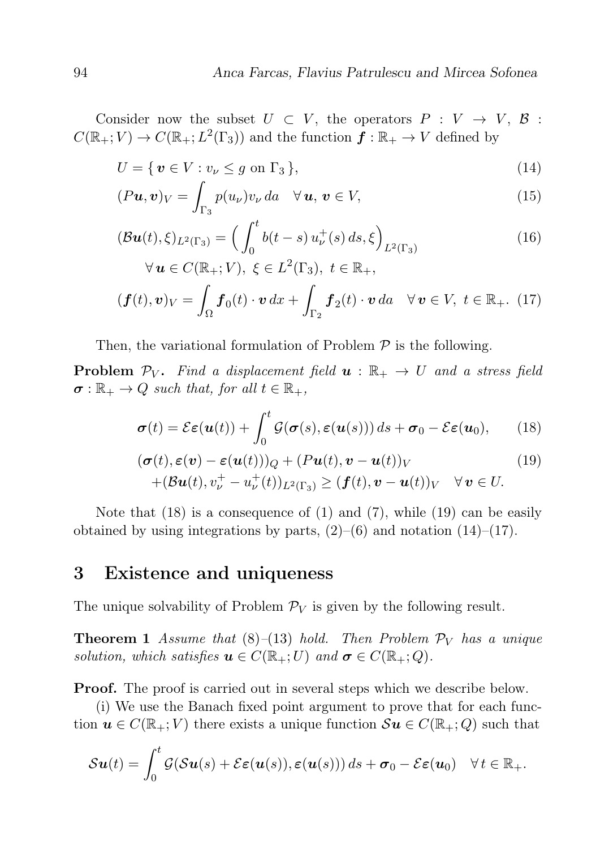Consider now the subset  $U \subset V$ , the operators  $P : V \to V$ ,  $\beta$ :  $C(\mathbb{R}_+; V) \to C(\mathbb{R}_+; L^2(\Gamma_3))$  and the function  $\mathbf{f} : \mathbb{R}_+ \to V$  defined by

$$
U = \{ \boldsymbol{v} \in V : v_{\nu} \le g \text{ on } \Gamma_3 \},\tag{14}
$$

$$
(Pu, v)V = \int_{\Gamma_3} p(u_{\nu}) v_{\nu} da \quad \forall \, u, \, v \in V,
$$
\n(15)

$$
(\mathcal{B}\mathbf{u}(t), \xi)_{L^2(\Gamma_3)} = \left(\int_0^t b(t-s) u^+_{\nu}(s) ds, \xi\right)_{L^2(\Gamma_3)}
$$
  
 
$$
\forall \mathbf{u} \in C(\mathbb{R}_+; V), \ \xi \in L^2(\Gamma_3), \ t \in \mathbb{R}_+,
$$
 (16)

$$
(\boldsymbol{f}(t), \boldsymbol{v})_V = \int_{\Omega} \boldsymbol{f}_0(t) \cdot \boldsymbol{v} \, dx + \int_{\Gamma_2} \boldsymbol{f}_2(t) \cdot \boldsymbol{v} \, da \quad \forall \, \boldsymbol{v} \in V, \ t \in \mathbb{R}_+ . \tag{17}
$$

Then, the variational formulation of Problem  $P$  is the following.

**Problem**  $\mathcal{P}_V$ . Find a displacement field  $\boldsymbol{u} : \mathbb{R}_+ \to U$  and a stress field  $\sigma : \mathbb{R}_+ \to Q$  such that, for all  $t \in \mathbb{R}_+$ ,

$$
\boldsymbol{\sigma}(t) = \mathcal{E}\boldsymbol{\varepsilon}(\boldsymbol{u}(t)) + \int_0^t \mathcal{G}(\boldsymbol{\sigma}(s), \boldsymbol{\varepsilon}(\boldsymbol{u}(s))) ds + \boldsymbol{\sigma}_0 - \mathcal{E}\boldsymbol{\varepsilon}(\boldsymbol{u}_0), \qquad (18)
$$

$$
(\boldsymbol{\sigma}(t), \boldsymbol{\varepsilon}(\boldsymbol{v}) - \boldsymbol{\varepsilon}(\boldsymbol{u}(t)))_{Q} + (P\boldsymbol{u}(t), \boldsymbol{v} - \boldsymbol{u}(t))_{V} + (\mathcal{B}\boldsymbol{u}(t), v_{\nu}^{+} - u_{\nu}^{+}(t))_{L^{2}(\Gamma_{3})} \ge (\boldsymbol{f}(t), \boldsymbol{v} - \boldsymbol{u}(t))_{V} \quad \forall \, \boldsymbol{v} \in U.
$$
 (19)

Note that  $(18)$  is a consequence of  $(1)$  and  $(7)$ , while  $(19)$  can be easily obtained by using integrations by parts,  $(2)$ – $(6)$  and notation  $(14)$ – $(17)$ .

### 3 Existence and uniqueness

The unique solvability of Problem  $\mathcal{P}_V$  is given by the following result.

**Theorem 1** Assume that  $(8)$ – $(13)$  hold. Then Problem  $\mathcal{P}_V$  has a unique solution, which satisfies  $\mathbf{u} \in C(\mathbb{R}_+;U)$  and  $\sigma \in C(\mathbb{R}_+;Q)$ .

Proof. The proof is carried out in several steps which we describe below.

(i) We use the Banach fixed point argument to prove that for each function  $u \in C(\mathbb{R}_+; V)$  there exists a unique function  $\mathcal{S}u \in C(\mathbb{R}_+; Q)$  such that

$$
\mathcal{S}\boldsymbol{u}(t) = \int_0^t \mathcal{G}(\mathcal{S}\boldsymbol{u}(s) + \mathcal{E}\boldsymbol{\varepsilon}(\boldsymbol{u}(s)), \boldsymbol{\varepsilon}(\boldsymbol{u}(s))) ds + \boldsymbol{\sigma}_0 - \mathcal{E}\boldsymbol{\varepsilon}(\boldsymbol{u}_0) \quad \forall t \in \mathbb{R}_+.
$$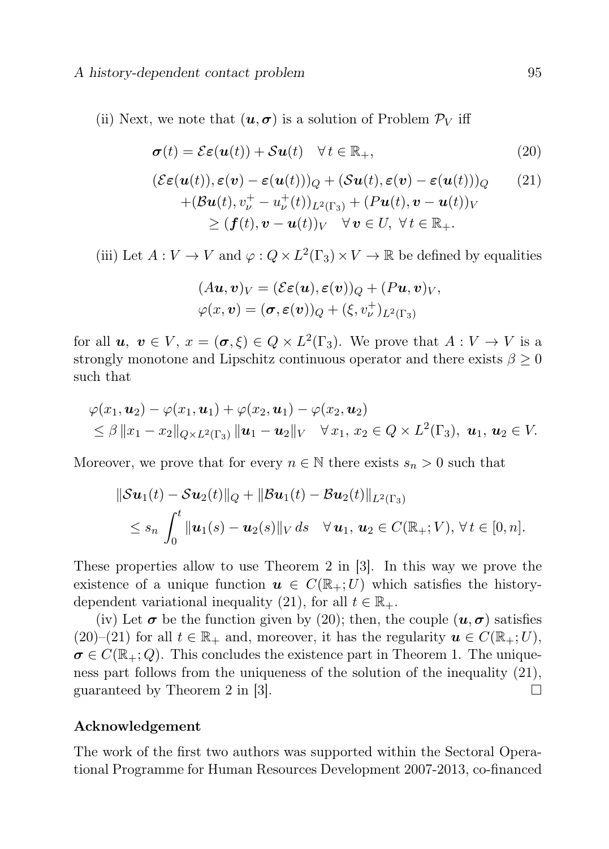(ii) Next, we note that  $(u, \sigma)$  is a solution of Problem  $\mathcal{P}_V$  iff

$$
\boldsymbol{\sigma}(t) = \mathcal{E}\boldsymbol{\varepsilon}(\boldsymbol{u}(t)) + \mathcal{S}\boldsymbol{u}(t) \quad \forall \, t \in \mathbb{R}_+, \tag{20}
$$

$$
(\mathcal{E}\varepsilon(\mathbf{u}(t)), \varepsilon(\mathbf{v}) - \varepsilon(\mathbf{u}(t)))Q + (\mathcal{S}\mathbf{u}(t), \varepsilon(\mathbf{v}) - \varepsilon(\mathbf{u}(t)))Q \qquad (21)
$$
  
+ 
$$
(\mathcal{B}\mathbf{u}(t), v_v^+ - u_v^+(t))_{L^2(\Gamma_3)} + (P\mathbf{u}(t), \mathbf{v} - \mathbf{u}(t))_V
$$
  

$$
\ge (\mathbf{f}(t), \mathbf{v} - \mathbf{u}(t))_V \quad \forall \mathbf{v} \in U, \forall t \in \mathbb{R}_+.
$$

(iii) Let  $A: V \to V$  and  $\varphi: Q \times L^2(\Gamma_3) \times V \to \mathbb{R}$  be defined by equalities

$$
(A\boldsymbol{u},\boldsymbol{v})_V = (\mathcal{E}\boldsymbol{\varepsilon}(\boldsymbol{u}),\boldsymbol{\varepsilon}(\boldsymbol{v}))_Q + (P\boldsymbol{u},\boldsymbol{v})_V, \varphi(x,\boldsymbol{v}) = (\boldsymbol{\sigma},\boldsymbol{\varepsilon}(\boldsymbol{v}))_Q + (\xi,v_\nu^{\perp})_{L^2(\Gamma_3)}
$$

for all  $u, v \in V$ ,  $x = (\sigma, \xi) \in Q \times L^2(\Gamma_3)$ . We prove that  $A: V \to V$  is a strongly monotone and Lipschitz continuous operator and there exists  $\beta \geq 0$ such that

$$
\varphi(x_1,\mathbf{u}_2)-\varphi(x_1,\mathbf{u}_1)+\varphi(x_2,\mathbf{u}_1)-\varphi(x_2,\mathbf{u}_2) \leq \beta \|x_1-x_2\|_{Q\times L^2(\Gamma_3)} \|\mathbf{u}_1-\mathbf{u}_2\|_V \quad \forall x_1, x_2 \in Q \times L^2(\Gamma_3), \mathbf{u}_1, \mathbf{u}_2 \in V.
$$

Moreover, we prove that for every  $n \in \mathbb{N}$  there exists  $s_n > 0$  such that

$$
\|\mathcal{S} \mathbf{u}_1(t) - \mathcal{S} \mathbf{u}_2(t)\|_{Q} + \|\mathcal{B} \mathbf{u}_1(t) - \mathcal{B} \mathbf{u}_2(t)\|_{L^2(\Gamma_3)}
$$
  
\$\leq s\_n \int\_0^t \| \mathbf{u}\_1(s) - \mathbf{u}\_2(s) \|\_{V} ds \quad \forall \mathbf{u}\_1, \mathbf{u}\_2 \in C(\mathbb{R}\_+; V), \forall t \in [0, n].

These properties allow to use Theorem 2 in [3]. In this way we prove the existence of a unique function  $u \in C(\mathbb{R}_+;U)$  which satisfies the historydependent variational inequality (21), for all  $t \in \mathbb{R}_+$ .

(iv) Let  $\sigma$  be the function given by (20); then, the couple  $(u, \sigma)$  satisfies  $(20)-(21)$  for all  $t \in \mathbb{R}_+$  and, moreover, it has the regularity  $u \in C(\mathbb{R}_+;U)$ ,  $\sigma \in C(\mathbb{R}_+;Q)$ . This concludes the existence part in Theorem 1. The uniqueness part follows from the uniqueness of the solution of the inequality (21), guaranteed by Theorem 2 in [3].  $\square$ 

#### Acknowledgement

The work of the first two authors was supported within the Sectoral Operational Programme for Human Resources Development 2007-2013, co-financed